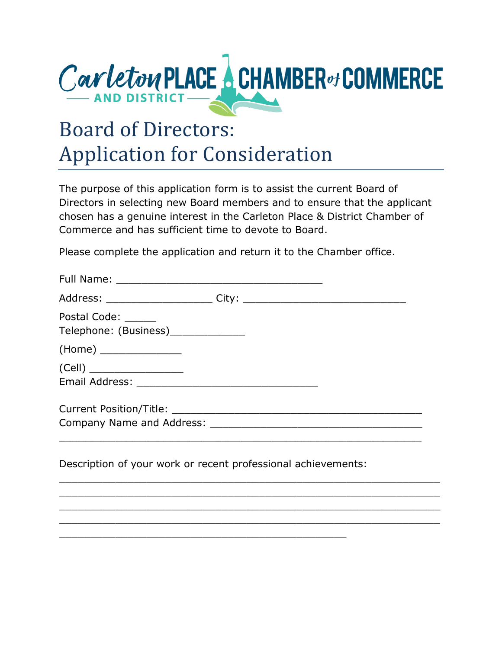

## Board of Directors: Application for Consideration

The purpose of this application form is to assist the current Board of Directors in selecting new Board members and to ensure that the applicant chosen has a genuine interest in the Carleton Place & District Chamber of Commerce and has sufficient time to devote to Board.

Please complete the application and return it to the Chamber office.

| Postal Code: ______<br>Telephone: (Business)_____________ |  |
|-----------------------------------------------------------|--|
| (Home) _________________                                  |  |
|                                                           |  |
|                                                           |  |
|                                                           |  |
|                                                           |  |

\_\_\_\_\_\_\_\_\_\_\_\_\_\_\_\_\_\_\_\_\_\_\_\_\_\_\_\_\_\_\_\_\_\_\_\_\_\_\_\_\_\_\_\_\_\_\_\_\_\_\_\_\_\_\_\_\_\_\_\_\_ \_\_\_\_\_\_\_\_\_\_\_\_\_\_\_\_\_\_\_\_\_\_\_\_\_\_\_\_\_\_\_\_\_\_\_\_\_\_\_\_\_\_\_\_\_\_\_\_\_\_\_\_\_\_\_\_\_\_\_\_\_ \_\_\_\_\_\_\_\_\_\_\_\_\_\_\_\_\_\_\_\_\_\_\_\_\_\_\_\_\_\_\_\_\_\_\_\_\_\_\_\_\_\_\_\_\_\_\_\_\_\_\_\_\_\_\_\_\_\_\_\_\_ \_\_\_\_\_\_\_\_\_\_\_\_\_\_\_\_\_\_\_\_\_\_\_\_\_\_\_\_\_\_\_\_\_\_\_\_\_\_\_\_\_\_\_\_\_\_\_\_\_\_\_\_\_\_\_\_\_\_\_\_\_

Description of your work or recent professional achievements:

\_\_\_\_\_\_\_\_\_\_\_\_\_\_\_\_\_\_\_\_\_\_\_\_\_\_\_\_\_\_\_\_\_\_\_\_\_\_\_\_\_\_\_\_\_\_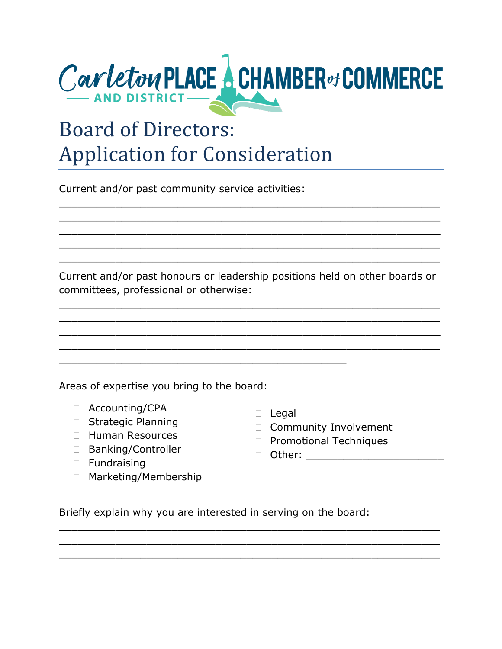

## Board of Directors: Application for Consideration

Current and/or past community service activities:

Current and/or past honours or leadership positions held on other boards or committees, professional or otherwise:

\_\_\_\_\_\_\_\_\_\_\_\_\_\_\_\_\_\_\_\_\_\_\_\_\_\_\_\_\_\_\_\_\_\_\_\_\_\_\_\_\_\_\_\_\_\_\_\_\_\_\_\_\_\_\_\_\_\_\_\_\_ \_\_\_\_\_\_\_\_\_\_\_\_\_\_\_\_\_\_\_\_\_\_\_\_\_\_\_\_\_\_\_\_\_\_\_\_\_\_\_\_\_\_\_\_\_\_\_\_\_\_\_\_\_\_\_\_\_\_\_\_\_ \_\_\_\_\_\_\_\_\_\_\_\_\_\_\_\_\_\_\_\_\_\_\_\_\_\_\_\_\_\_\_\_\_\_\_\_\_\_\_\_\_\_\_\_\_\_\_\_\_\_\_\_\_\_\_\_\_\_\_\_\_ \_\_\_\_\_\_\_\_\_\_\_\_\_\_\_\_\_\_\_\_\_\_\_\_\_\_\_\_\_\_\_\_\_\_\_\_\_\_\_\_\_\_\_\_\_\_\_\_\_\_\_\_\_\_\_\_\_\_\_\_\_

\_\_\_\_\_\_\_\_\_\_\_\_\_\_\_\_\_\_\_\_\_\_\_\_\_\_\_\_\_\_\_\_\_\_\_\_\_\_\_\_\_\_\_\_\_\_\_\_\_\_\_\_\_\_\_\_\_\_\_\_\_ \_\_\_\_\_\_\_\_\_\_\_\_\_\_\_\_\_\_\_\_\_\_\_\_\_\_\_\_\_\_\_\_\_\_\_\_\_\_\_\_\_\_\_\_\_\_\_\_\_\_\_\_\_\_\_\_\_\_\_\_\_  $\_$  , and the set of the set of the set of the set of the set of the set of the set of the set of the set of the set of the set of the set of the set of the set of the set of the set of the set of the set of the set of th \_\_\_\_\_\_\_\_\_\_\_\_\_\_\_\_\_\_\_\_\_\_\_\_\_\_\_\_\_\_\_\_\_\_\_\_\_\_\_\_\_\_\_\_\_\_\_\_\_\_\_\_\_\_\_\_\_\_\_\_\_ \_\_\_\_\_\_\_\_\_\_\_\_\_\_\_\_\_\_\_\_\_\_\_\_\_\_\_\_\_\_\_\_\_\_\_\_\_\_\_\_\_\_\_\_\_\_\_\_\_\_\_\_\_\_\_\_\_\_\_\_\_

Areas of expertise you bring to the board:

- Accounting/CPA
- □ Strategic Planning
- $\Box$  Human Resources
- □ Banking/Controller
- D Fundraising
- □ Marketing/Membership
- $\Box$  Legal
- Community Involvement
- D Promotional Techniques
- $\Box$  Other:

Briefly explain why you are interested in serving on the board:

\_\_\_\_\_\_\_\_\_\_\_\_\_\_\_\_\_\_\_\_\_\_\_\_\_\_\_\_\_\_\_\_\_\_\_\_\_\_\_\_\_\_\_\_\_\_\_\_\_\_\_\_\_\_\_\_\_\_\_\_\_ \_\_\_\_\_\_\_\_\_\_\_\_\_\_\_\_\_\_\_\_\_\_\_\_\_\_\_\_\_\_\_\_\_\_\_\_\_\_\_\_\_\_\_\_\_\_\_\_\_\_\_\_\_\_\_\_\_\_\_\_\_ \_\_\_\_\_\_\_\_\_\_\_\_\_\_\_\_\_\_\_\_\_\_\_\_\_\_\_\_\_\_\_\_\_\_\_\_\_\_\_\_\_\_\_\_\_\_\_\_\_\_\_\_\_\_\_\_\_\_\_\_\_

\_\_\_\_\_\_\_\_\_\_\_\_\_\_\_\_\_\_\_\_\_\_\_\_\_\_\_\_\_\_\_\_\_\_\_\_\_\_\_\_\_\_\_\_\_\_